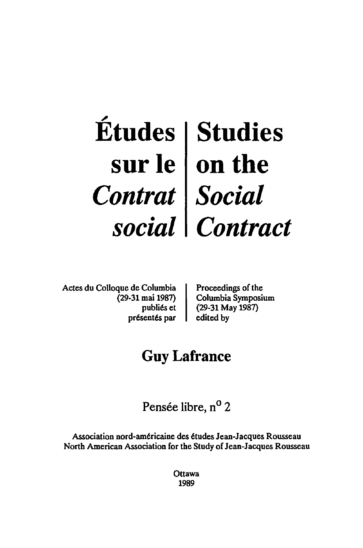## .., **Etudes**  sur Ie *Contrat social*  **Studies on the**  *Social Contract*

Actes du Colloque de Columbia (29-31 mai 1987) publiés et présentés par Proceedings of the Columbia Symposium (29-31 May 1987) edited by

# **Guy Lafrance**

Pensée libre, n<sup>o</sup> 2

Association nord-americaine des etudes Jean-Jacques Rousseau North American Association for the Study of Jean-Jacques Rousseau

> Ottawa 1989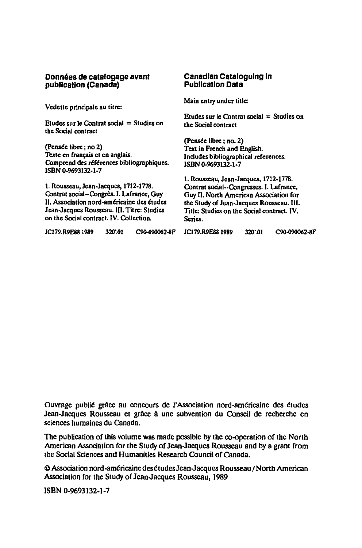#### Données de catalogage avant **publication (Canada)**

Vedette principale au titre:

Etudes sur le Contrat social $:$  Studies on tbe Social contract

(Pensee libre ; no 2) Texte en français et en anglais. Comprend des références bibliographiques. ISBN 0·%93132·1·7

1. Rousseau, Jean-Jacques, 1712-1778. Contrat social--Congrès. I. Lafrance, Guy II. Association nord-américaine des études Jean-Jacques Rousseau. III. Titre: Studies on the Social contract. IV. Collection.

### **CanadIan CataloguIng In PublicatIon Data**  Main entry under title:

Etudes sur le Contrat social  $=$  Studies on the Social contract

(Pensée libre ; no. 2) Text in French and English. Indudes bibliographical references. ISBN 0·%93132·1·7

1. Rousseau, Jean-Jacques, 1712-1778. Contrat social •• Congresses. I. Lafrance, Guy II. North American Association for the Study of Jean·Jacques Rousseau. III. Title: Studies on the Social contract. IV. Series.

JC179.R9E88 1989 320'.01 C90-090062-8F JC179.R9E88 1989 320'.01 C90-090062-8F

Ouvrage publié grâce au concours de l'Association nord-américaine des études Jean-Jacques Rousseau et grâce à une subvention du Conseil de recherche en sciences humaines du Canada.

The publication of this volume was made possible by the co-operation of the North American Association for the Study of Jean·Jacques Rousseau and by a grant from the Social Sciences and Humanities Research Council of Canada.

@ Association nord-américaine des études Jean-Jacques Rousseau / North American Association for the Study of Jean.Jacques Rousseau, 1989

ISBN 0·9693132·1·7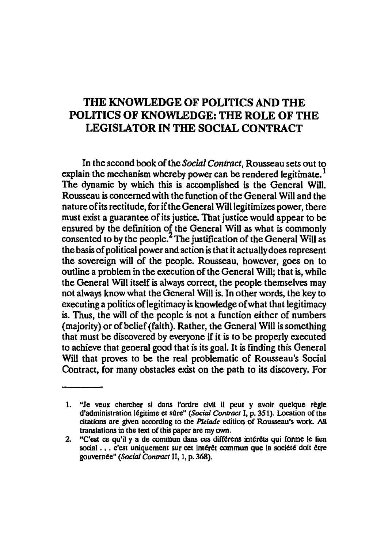## THE KNOWLEDGE OF POLITICS AND THE POLITICS OF KNOWLEDGE: THE ROLE OF THE LEGISLATOR IN THE SOCIAL CONTRACT

In the second book of the *Social Contract,* Rousseau sets out to explain the mechanism whereby power can be rendered legitimate.<sup>1</sup> The dynamic by which this is accomplished is the General Will. Rousseau is concerned with the function of the General Will and the nature of its rectitude, for if the General Will legitimizes power, there must exist a guarantee of its justice. That justice would appear to be ensured by the defmition of the General Will as what is commonly consented to by the people.<sup>2</sup> The justification of the General Will as the basis of political power and action is that it actually does represent the sovereign will of the people. Rousseau, however, goes on to outline a problem in the execution of the General Will; that is, While the General Will itself is always correct, the people themselves may not always know what the General Will is. In other words, the key to executing a politics oflegitimacy is knowledge of what that legitimacy is. Thus, the will of the people is not a function either of numbers (majority) or of belief (faith). Rather, the General Will is something that must be discovered by everyone if it is to be properly executed to achieve that general good that is its goal. It is finding this General Will that proves to be the real problematic of Rousseau's Social Contract, for many obstacles exist on the path to its discovery. For

<sup>1. &</sup>quot;Je veux chercher si dans l'ordre civil il peut y avoir quelque règle d'administration légitime et sûre" *(Social Contract I*, p. 351). Location of the citations are given according to the *Pleiade* edition of Rousseau's work. All translations in the text of this paper are my own.

<sup>2. &</sup>quot;C'est ce qu'il y a de commun dans ces différens intérêts qui forme le lien social ... c'est uniquement sur cet intérêt commun que la société doit être gouvernte" *(Social Contract* II, I, p. 368).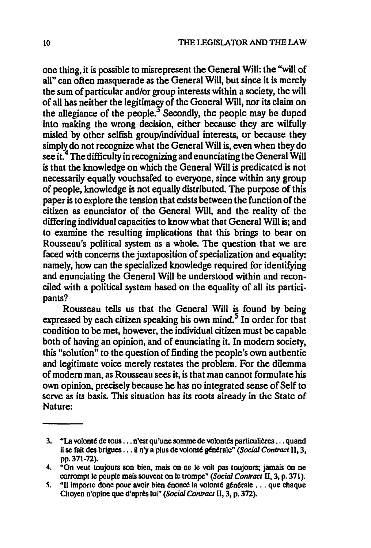one thing, it is possible to misrepresent the General Will: the "will of aU" can often masquerade as the General Will, but since it is merely the sum of particular and/or group interests within a society, the will of all has neither the legitimacy of the General Will, nor its claim on the allegiance of the people. $<sup>3</sup>$  Secondly, the people may be duped</sup> into making the wrong decision, either because they are wilfully misled by other selfish group/individual interests, or because they simply do not recognize what the General Will is, even when they do see it.<sup>4</sup> The difficulty in recognizing and enunciating the General Will is that the knowledge on which the General Will is predicated is not necessarily equally vouchsafed to everyone, since within any group of people, knowledge is not equally distnbuted. The purpose of this paper is to explore the tension that exists between the function of the citizen as enunciator of the General Will, and the reality of the differing individual capacities to know what that General Will is; and to examine the resulting implications that this brings to bear on Rousseau's political system as a whole. The question that we are faced with concerns the juxtaposition of specialization and equality: namely, how can the specialized knowledge required for identifying and enunciating the General Will be understood within and reconciled with a political system based on the equality of all its participants?

Rousseau tells us that the General Will is found by being expressed by each citizen speaking his own mind.<sup>5</sup> In order for that condition to be met, however, the individual citizen must be capable both of having an opinion, and of enunciating it. In modem society, this "solution" to the question of finding the people's own authentic and legitimate voice merely restates the problem. For the dilemma of modem man, as Rousseau sees it, is that man cannot formulate his own opinion, precisely because he has no integrated sense of Self to serve as its basis. This situation has its roots already in the State of Nature:

<sup>3. &</sup>quot;La volonté de tous  $\dots$ n'est qu'une somme de volontés particulières  $\dots$  quand il se fait des brigues . . . il n'y a plus de volonté générale" *(Social Contract II, 3,* pp.371-72).

<sup>4. &</sup>quot;On veut toujours son bien. mais on ne Ie vait pas toujours; jamais on ne corrompt le peuple mais souvent on le trompe" *(Social Contract II, 3, p. 371).* 

<sup>5. &</sup>quot;Il importe donc pour avoir bien énoncé la volonté générale ... que chaque Citoyen n'opine que d'apre& lui" *(Social Contract* II, 3, p. 372).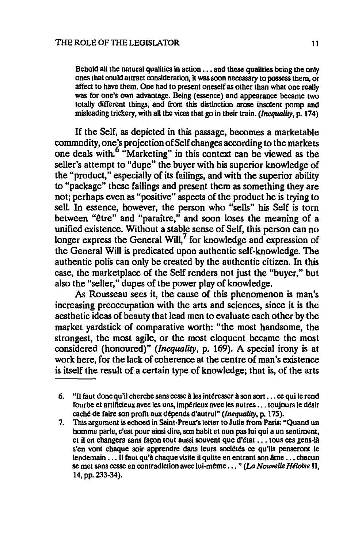Behold all the natural qualities in  $action \dots$  and these qualities being the only ones that could attract consideration, it was soon necessary to possess them, or affect to have them. One had to present oneself as other than what one really was for one's own advantage. Being (essence) and appearance became two totally different things, and from this distinction arose insolent pomp and misleading trickery, with all the vices that go in their train. *(Inequality,* p. 174)

If the Self, as depicted in this passage, becomes a marketable commodity, one's projection of Self changes according to the markets one deals with.<sup>6</sup> "Marketing" in this context can be viewed as the seller's attempt to "dupe" the buyer with his superior knowledge of the "product," especially of its failings, and with the superior ability to "package" these failings and present them as something they are not; perhaps even as "positive" aspects of the product he is trying to sell. In essence, however, the person who "sells" his Self is torn between "être" and "paraître," and soon loses the meaning of a unified existence. Without a stable sense of Self, this person can no longer express the General Will, $^7$  for knowledge and expression of the General Will is predicated upon authentic self-knowledge. The authentic polis can only be created by the authentic citizen. In this case, the marketplace of the Self renders not just the "buyer," but also the "seller," dupes of the power play of knowledge.

As Rousseau sees it, the cause of this phenomenon is man's increasing preoccupation with the arts and sciences, since it is the aesthetic ideas of beauty that lead men to evaluate each other by the market yardstick of comparative worth: "the most handsome, the strongest, the most agile, or the most eloquent became the most considered (honoured)" *(Inequality,* p. 169). A special irony is at work here, for the lack of coherence at the centre of man's existence is itself the result of a certain type of knowledge; that is, of the arts

<sup>6. &</sup>quot;Il faut donc qu'il cherche sans cesse à les intéresser à son sort ... ce qui le rend fourbe et artificieux avec les uns, impérieux avec les autres ... toujours le désir caché de faire son profit aux dépends d'autrui" *(Inequality*, p. 175).

<sup>7.</sup> This argument is echoed in Saint-Preux's letter to Julie from Paris: "Quand un homme parle, e'est pour ainsi dire, son habit et non pas lui qui a un sentiment, et il en changera sans façon tout aussi souvent que d'état ... tous ces gens-là s'en vont chaque soir apprendre dans leurs sociétés ce qu'ils penseront le lendemain  $\dots$  Il faut qu'à chaque visite il quitte en entrant son âme  $\dots$  chacun se met sans cesse en contradiction avec lui-même ... " (La *Nouvelle Héloïse* II, 14, pp. 233-34).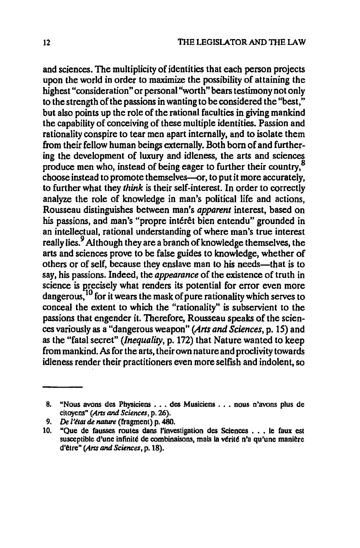and sciences. The multiplicity of identities that each person projects upon the world in order to maximize the possibility of attaining the highest "consideration" or personal "worth" bears testimony not only to the strength of the passions in wanting to be considered the "best," but also points up the role of the rational faculties in giving mankind the capability of conceiving of these multiple identities. Passion and rationality conspire to tear men apart internally, and to isolate them from their fellow human beings externally. Both born of and furthering the development of luxury and idleness, the arts and sciences produce men who, instead of being eager to further their country,8 choose instead to promote themselves-or, to put it more accurately, to further what they *think* is their self-interest. In order to correctly analyze the role of knowledge in man's political life and actions, Rousseau distinguishes between man's *apparent* interest, based on his passions, and man's "propre intérêt bien entendu" grounded in an intellectual, rational understanding of where man's true interest really lies.<sup>9</sup> Although they are a branch of knowledge themselves, the arts and sciences prove to be false guides to knowledge, whether of others or of self, because they enslave man to his needs—that is to say, his passions. Indeed, the *appearance* of the existence of truth in science is precisely what renders its potential for error even more dangerous,<sup>10</sup> for it wears the mask of pure rationality which serves to conceal the extent to which the "rationality" is subservient to the passions that engender it. Therefore, Rousseau speaks of the sciences variously as a "dangerous weapon" *(Arts and Sciences,* p. 15) and as the "fatal secret" *(Inequality,* p. 172) that Nature wanted to keep from mankind. As for the arts, their own nature and proclivity towards idleness render their practitioners even more selfish and indolent, so

<sup>8. &</sup>quot;Nous avons des Physiciens . . . des Musiciens . . . nous n'avons plus de citoyens" *(Arts and Sciences,* p. 26).

<sup>9.</sup> *De l'état de nature* (fragment) p. 480.

<sup>10. &</sup>quot;Que de fausses routes dans I'investigation des Sciences . . • Ie faux est susceptible d'une infinité de combinaisons, mais la vérité n'a qu'une manière d'etre" *(Arts and Sciences,* p. 18).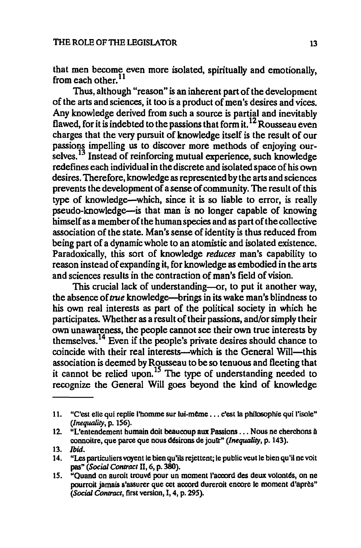that men become even more isolated, spiritually and emotionally, from each other. $^{11}$ 

Thus, although "reason" is an inherent part of the development of the arts and sciences, it too is a product of men's desires and vices. Any knowledge derived from such a source is partial and inevitably flawed, for it is indebted to the passions that form it.<sup>12</sup> Rousseau even charges that the very pursuit of knowledge itself is the result of our passions impelling us to discover more methods of enjoying ourselves.<sup>13</sup> Instead of reinforcing mutual experience, such knowledge redefines each individual in the discrete and isolated space of his own desires. Therefore, knowledge as represented by the arts and sciences prevents the development of a sense of community. The result of this type of knowledge-which, since it is so liable to error, is really pseudo-knowledge-is that man is no longer capable of knowing himself as a member of the human species and as part of the collective association of the state. Man's sense of identity is thus reduced from being part of a dynamic whole to an atomistic and isolated existence. Paradoxically, this sort of knowledge *reduces* man's capability to reason instead of expanding it, for knowledge as embodied in the arts and sciences results in the contraction of man's field of vision.

This crucial lack of understanding-or, to put it another way, the absence of *true* knowledge—brings in its wake man's blindness to his own real interests as part of the political society in which he participates. Whether as a result of their passions, and/or simply their own unawareness, the people cannot see their own true interests by themselves.14 Even if the people's private desires should chance to coincide with their real interests—which is the General Will—this association is deemed by Rousseau to be so tenuous and fleeting that it cannot be relied upon. *IS* The type of understanding needed to recognize the General Will goes beyond the kind of knowledge

<sup>11. &</sup>quot;C'est elle qui replie l'homme sur lui-même ... c'est la philosophie qui l'isole" *(Inequality,* p. 156).

<sup>12. &</sup>quot;L'entendement humain doit beaucoup aux Passions . . . Nous ne cherchons à connoitre, que parce que nous désirons de joutr" *(Inequality, p. 143).* 

<sup>13.</sup> Ibid.

<sup>14. &</sup>quot;Les particuliers voyent le bien qu'ils rejettent; le public veut le bien qu'il ne voit pas" *(Social Contract* II, 6, p. 380).

<sup>15. &</sup>quot;Quand on auroit trouvé pour un moment l'accord des deux volontés, on ne pourroit jamais s'assurer que cet accord dureroit encore le moment d'après" *(Social Contract,* first version, I, 4, p. 295).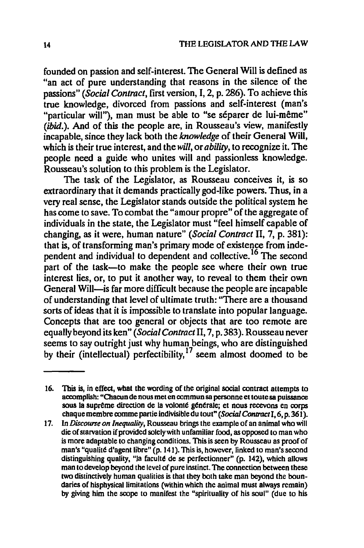founded on passion and self-interest. The General Will is defined as "an act of pure understanding that reasons in the silence of the passions" *(Social Contract,* tirst version, I, 2, p. 286). To achieve this true knowledge, divorced from passions and self-interest (man's "particular will"), man must be able to "se séparer de lui-même" (ibid.). And of this the people are, in Rousseau's view, manifestly incapable, since they lack both the *knowledge* of their General Will, which is their true interest, and the *will,* or *ability,* to recognize it. The people need a guide who unites will and passionless knowledge. Rousseau's solution to this problem is the Legislator.

The task of the Legislator, as Rousseau conceives it, is so extraordinary that it demands practically god-like powers. Thus, in a very real sense, the Legislator stands outside the political system he has come to save. To combat the "amour propre" of the aggregate of individuals in the state, the Legislator must "feel himself capable of changing, as it were, human nature" *(Social Contract* II, 7, p. 381): that is, of transforming man's primary mode of existence from independent and individual to dependent and collective.16 The second part of the task-to make the people see where their own true interest lies, or, to put it another way, to reveal to them their own General Will—is far more difficult because the people are incapable of understanding that level of ultimate truth: "There are a thousand sorts of ideas that it is impossible to translate into popular language. Concepts that are too general or objects that are too remote are equally beyond its ken" *(Social Contract* II, 7, p. 383). Rousseau never seems to say outright just why human beings, who are distinguished by their (intellectual) perfectibility,<sup>11</sup> seem almost doomed to be

<sup>16.</sup> This is, in effect, what the wording of the original social contract attempts to accomplish: "Chacun de nous met en commun sa personne el loute sa puissance sous la suprême direction de la volonté générale; et nous recevons en corps chaque membre comme partie indivisible du tout" *(Social Contract I, 6, p.* 361).

<sup>17.</sup> In *Discourse on inequality,* Rousseau brings the example of an animal who wiJl die of starvation if provided solely with unfamiliar food, as opposed to man who is more adaptable to changing conditions. This is seen by Rousseau as proof of man's "qualite d'agent libre"  $(p. 141)$ . This is, however, linked to man's second distinguishing quality, "Ia faculte de se perfectionner" (p. 142), which allows man to develop beyond the level of pure instinct. The connection between these two distinctively human qualities is that they both take man beyond the boundaries of hisphysical limitations (within which the animal must always remain) by giving him the scope to manifest the "spirituality of his soul" (due to his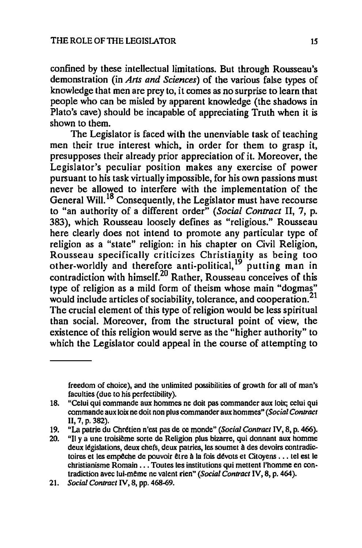confined by these intellectual limitations. But through Rousseau's demonstration (in *Arts and Sciences)* of the various false types of knowledge that men are prey to, it comes as no surprise to learn that people who can be misled by apparent knowledge (the shadows in Plato's cave) should be incapable of appreciating Truth when it is shown to them.

The Legislator is faced with the unenviable task of teaching men their true interest which, in order for them to grasp it, presupposes their already prior appreciation of it. Moreover, the Legislator's peculiar position makes any exercise of power pursuant to his task virtually impossible, for his own passions must never be allowed to interfere with the implementation of the General Will.<sup>18</sup> Consequently, the Legislator must have recourse to "an authority of a different order" *(Social Contract* II, 7, p. 383), which Rousseau loosely defines as "religious." Rousseau here clearly does not intend to promote any particular type of religion as a "state" religion: in his chapter on Civil Religion, Rousseau specifically criticizes Christianity as being too other-worldly and therefore anti-political, <sup>19</sup> putting man in contradiction with himself.<sup>20</sup> Rather, Rousseau conceives of this type of religion as a mild form of theism whose main "dogmas" would include articles of sociability, tolerance, and cooperation.<sup>21</sup> The crucial element of this type of religion would be less spiritual than social. Moreover, from the structural point of view, the existence of this religion would serve as the "higher authority" to which the Legislator could appeal in the course of attempting to

freedom of choice). and the unlimited possibilities of growth for all of man's faculties (due to his perfectibility).

<sup>18. &</sup>quot;Celui qui commande aux hommes ne doit pas commander aux loix; celui qui commande aux loix ne doit non plus commander aux hommes" *(Social Contract* II, 7, p. 382).

<sup>19. &</sup>quot;La patrie du Chrttien n'est pas de ce monde" *(Social Contract* IV, 8, p. 466).

<sup>20. &</sup>quot;Il y a une troisième sorte de Religion plus bizarre, qui donnant aux homme deux législations, deux chefs, deux patries, les soumet à des devoirs contradictoires et les empêche de pouvoir être à la fois dévots et Citoyens ... tel est le christianisrne Romain ..• Toutes les institutions qui mettent l'homme en con· tradiction avec lui·meme ne valent rien" *(Social Contract* IV, 8, p. 464).

*<sup>21.</sup> Social Contract N,* 8, pp. 468-69.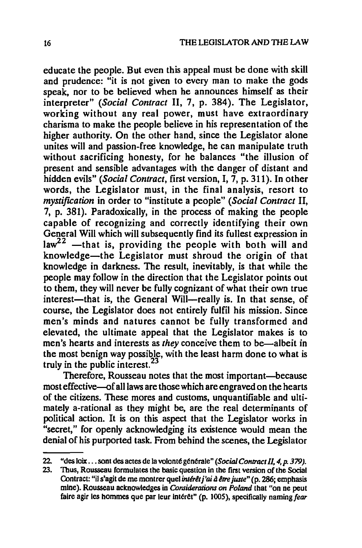educate the people. But even this appeal must be done with skill and prudence: "it is not given to every man to make the gods speak, nor to be believed when he announces himself as their interpreter" *(Social Contract* II, 7, p. 384). The Legislator, working without any real power, must have extraordinary charisma to make the people believe in his representation of the higher authority. On the other hand, since the Legislator alone unites will and passion-free knowledge, he can manipulate truth without sacrificing honesty, for he balances "the illusion of present and sensible advantages with the danger of distant and hidden evils" *(Social Contract,* first version, I, 7, p. 311). In other words, the Legislator must, in the final analysis, resort to *mystifzeation* in order to "institute a people" *(Social Contract* II, 7, p. 381). Paradoxically, in the process of making the people capable of recognizing and correctly identifying their own General Will which will subsequently find its fullest expression in  $law<sup>22</sup>$  -that is, providing the people with both will and knowledge-the Legislator must shroud the origin of that knowledge in darkness. The result, inevitably, is that while the people may follow in the direction that the Legislator points out to them, they will never be fully cognizant of what their own true interest—that is, the General Will—really is. In that sense, of course, the Legislator does not entirely fulfil his mission. Since men's minds and natures cannot be fully transformed and elevated, the ultimate appeal that the Legislator makes is to men's hearts and interests as *they* conceive them to be—albeit in the most benign way possible, with the least harm done to what is truly in the public interest.<sup>23</sup>

Therefore, Rousseau notes that the most important-because most effective-of all laws are those which are engraved on the hearts of the citizens. These mores and customs, unquantifiable and ultimately a-rational as they might be, are the real determinants of political action. It is on this aspect that the Legislator works in "secret," for openly acknowledging its existence would mean the denial of his purported task. From behind the scenes, the Legislator

<sup>22. &</sup>quot;des loix ... sont des actes de la volonté générale" *(Social Contract II, 4, p. 379).*<br>23. Thus, Rousseau formulates the basic question in the first version of the Social

Thus, Rousseau formulates the basic question in the first version of the Social Contract: "il s'agit de me montrer quel *intérêt j'ai à être juste"* (p. 286; emphasis mine). Rousseau acknowledges in *Considerations* on *Poland* that "on ne peut faire agir les hommes que par leur intérêt" (p. 1005), specifically naming fear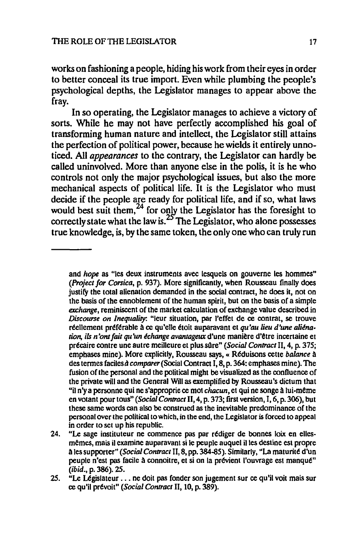works on fashioning a people, hiding his work from their eyes in order to better conceal its true import. Even while plumbing the people's psychological depths, the Legislator manages to appear above the fray.

In so operating, the Legislator manages to achieve a victory of sorts. While he may not have perfectly accomplished his goal of transforming human nature and intellect, the Legislator still attains the perfection of political power, because he wields it entirely unnoticed. All *appearances* to the contrary, the Legislator can hardly be called uninvolved. More than anyone else in the polis, it is he who controls not only the major psychological issues, but also the more mechanical aspects of political life. It is the Legislator who must decide if the people are ready for political life, and if so, what laws would best suit them,<sup>24</sup> for only the Legislator has the foresight to correctly state what the law is.  $\mathcal{L}$  The Legislator, who alone possesses true knowledge, is, by the same token, the only one who can truly run

and hope as "Ies deux instruments avec lesquels on gouverne les hommes" *(Project for Conica,* p. 937). More significantly, when Rousseau finally does justify the total alienation demanded in the social contract, he does it, not on the basis of the ennoblement of the human spirit, but on the basis of a simple *exciumge,* reminiscent of the market calculation of exchange value described in *Discourse on Jnequalily:* "leur situation, par I'effet de ce contrat, se trouve réellement préférable à ce qu'elle étoit auparavant et *qu'au lieu d'une aliénation, ils n'ont fait qu'un échange avantageux* d'une manière d'être incertaine et précaire contre une autre meilleure et plus sûre" *(Social Contract II, 4, p. 375;* emphases mine). More explicitly, Rousseau says,« Rtduisons cette *balance* A des termes faciles *à comparer (Social Contract I, 8, p. 364: emphases mine)*. The fusion of the personal and the political might be visualized as the confluence of the private will and the General Will as exemplified by Rousseau's dictum that "it n'y a personne qui ne s'approprie ce mot *chacun,* et qui ne songe A lui·meme en votant pour tous" *(Social Contract* II, 4, p. 373; first version, I, 6, p. 306), but these same words can also be construed as the inevitable predominance of the personal over the political to Which, in the end, the Legislator is forced to appeal in order to set up his republic.

<sup>24. &</sup>quot;Le sage instituteur ne commence pas par rédiger de bonnes loix en ellesmemes, mais il examine auparavant si Ie peuple auquel illes destine est propre A lessupporter" *(Social Contract* II, 8, pp. 384-85). Similarly, "La matuntt d'un peuple n'est pas facile à connoitre, et si on la prévient l'ouvrage est manqué" (ibid., p. 386). 25.

<sup>25. &</sup>quot;Le Législateur ... ne doit pas fonder son jugement sur ce qu'il voit mais sur ce qu'il prtvoit" *(Social Contract* 11,10, p.389).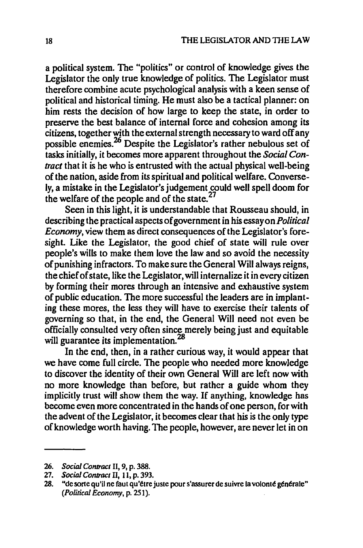a political system. The "politics" or control of knowledge gives the Legislator the only true knowledge of politics. The Legislator must therefore combine acute psychological analysis with a keen sense of political and historical timing. He must also be a tactical planner: on him rests the decision of how large to keep the state, in order to preserve the best balance of internal force and cohesion among its citizens, together with the external strength necessary to ward off any possible enemies.<sup>26</sup> Despite the Legislator's rather nebulous set of tasks initially, it becomes more apparent throughout the *Social Contract* that it is he who is entrusted with the actual physical well-being of the nation, aside from its spiritual and political welfare. Conversely, a mistake in the Legislator's judgement could well spell doom for the welfare of the people and of the state.<sup>27</sup>

Seen in this light, it is understandable that Rousseau should, in describing the practical aspects of government in his essay on *Political Economy,* view them as direct consequences of the Legislator's foresight. Like the Legislator, the good chief of state will rule over people's wills to make them love the law and so avoid the necessity of punishing infractors. To make sure the General Will always reigns, the chief of state, like the Legislator, will internalize it in every citizen by forming their mores through an intensive and exhaustive system of public education. The more successful the leaders are in implanting these mores, the less they will have to exercise their talents of governing so that, in the end, the General Will need not even be officially consulted very often since merely being just and equitable will guarantee its implementation.<sup>28</sup>

In the end, then, in a rather curious way, it would appear that we have come full circle. The people who needed more knowledge to discover the identity of their own General Will are left now with no more knowledge than before, but rather a guide whom they implicitly trust will show them the way. If anything, knowledge has become even more concentrated in the hands of one person, for with the advent of the Legislator, it becomes clear that his is the only type of knowledge worth having. The people, however, are never let in on

<sup>26.</sup> Social Contract II, 9, p. 388.

<sup>27.</sup> *Social Contract II*, 11, p. 393.

<sup>28. &</sup>quot;de sorte qu'il ne faut qu'être juste pour s'assurer de suivre la volonté générale" *(Political Economy,* p. 251).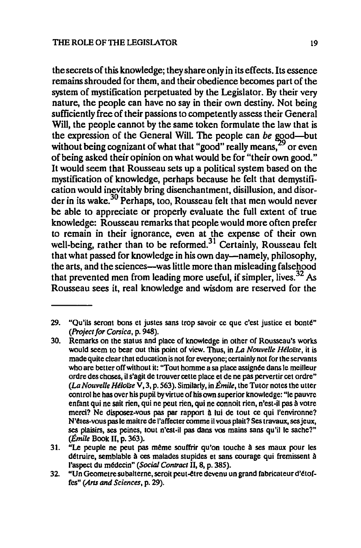the secrets of this knowledge; they share only in its effects. Its essence remains shrouded for them. and their obedience becomes part of the system of mystification perpetuated by the Legislator. By their very nature. the people can have no say in their own destiny. Not being sufficiently free of their passions to competently assess their General Will, the people cannot by the same token formulate the law that is the expression of the General Will. The people can *be* good—but without being cognizant of what that "good" really means, <sup>29</sup> or even of being asked their opinion on what would be for "their own good." It would seem that Rousseau sets up a political system based on the mystification of knowledge, perhaps because he felt that demystification would inevitably bring disenchantment, disillusion, and disorder in its wake.<sup>30</sup> Perhaps, too, Rousseau felt that men would never be able to appreciate or properly evaluate the full extent of true knowledge: Rousseau remarks that people would more often prefer to remain in their ignorance, even at the expense of their own well-being, rather than to be reformed.<sup>31</sup> Certainly, Rousseau felt that what passed for knowledge in his own day-namely, philosophy, the arts, and the sciences-was little more than misleading falsehood that prevented men from leading more useful, if simpler, lives.  $32$  As Rousseau sees it, real knowledge and wisdom are reserved for the

<sup>29. &</sup>quot;Qu'ils seront bons et justes sans trop savoir ce que c'est justice et bonté" *(Project for Corsica,* p. 948).

<sup>30.</sup> Remarks on the status and place of knowledge in other of Rousseau's works would seem to bear out this point of view. Thus, in *LA Nouvelle Heloise,* it is made quite clear that education is not for everyone; certainly not for the servants who are better off without it: "Tout homme a sa place assignée dans le meilleur ordre des chases, il s'agit de trouver celie place et de ne pas pervertir cet ordre" (La *Nouvelle Heloise* v, 3, p. 563). Similarly, in Emile, the Tutor notes the utter control he has over his pupil byvirtue of his own superior knowledge: "Ie pauvre enfant qui ne sail rien, qui ne peut rien, qui ne connoit rien, n'est-it pas a votre merci? Ne disposez-vous pas par rapport à lui de tout ce qui l'environne? N'etes-vous pas Ie maitre de l'affecter comme iI vous plait? Ses travaux, ses jeux, ses plaisirs, ses peines, tout n'est-il pas dans vos mains sans qu'il le sache?"  $(\textit{Émile}$  Book II, p. 363).

<sup>31. &</sup>quot;Le peuple ne peut pas même souffrir qu'on touche à ses maux pour les détruire, semblable à ces malades stupides et sans courage qui fremissent à l'aspect du médecin" *(Social Contract II*, 8, p. 385).

<sup>32. &</sup>quot;Un Geometre subalterne, seroit peut-être devenu un grand fabricateur d'étofres" *(Arts* and *Sciences,* p. 29).